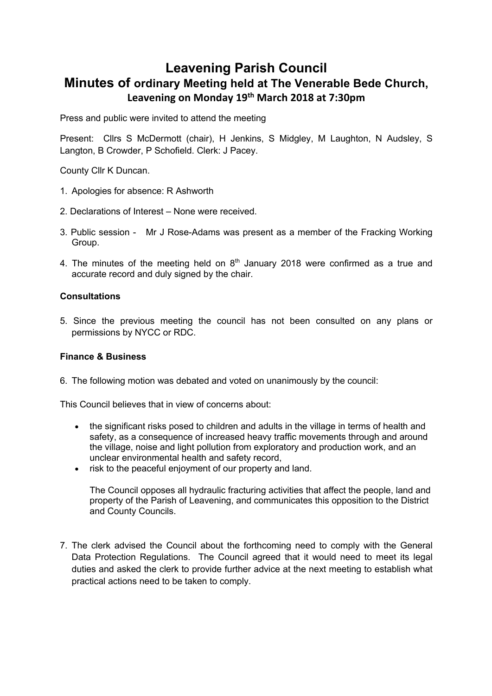## **Leavening Parish Council Minutes of ordinary Meeting held at The Venerable Bede Church, Leavening on Monday 19th March 2018 at 7:30pm**

Press and public were invited to attend the meeting

Present: Cllrs S McDermott (chair), H Jenkins, S Midgley, M Laughton, N Audsley, S Langton, B Crowder, P Schofield. Clerk: J Pacey.

County Cllr K Duncan.

- 1. Apologies for absence: R Ashworth
- 2. Declarations of Interest None were received.
- 3. Public session Mr J Rose-Adams was present as a member of the Fracking Working Group.
- 4. The minutes of the meeting held on  $8<sup>th</sup>$  January 2018 were confirmed as a true and accurate record and duly signed by the chair.

## **Consultations**

5. Since the previous meeting the council has not been consulted on any plans or permissions by NYCC or RDC.

## **Finance & Business**

6. The following motion was debated and voted on unanimously by the council:

This Council believes that in view of concerns about:

- the significant risks posed to children and adults in the village in terms of health and safety, as a consequence of increased heavy traffic movements through and around the village, noise and light pollution from exploratory and production work, and an unclear environmental health and safety record,
- risk to the peaceful enjoyment of our property and land.

The Council opposes all hydraulic fracturing activities that affect the people, land and property of the Parish of Leavening, and communicates this opposition to the District and County Councils.

7. The clerk advised the Council about the forthcoming need to comply with the General Data Protection Regulations. The Council agreed that it would need to meet its legal duties and asked the clerk to provide further advice at the next meeting to establish what practical actions need to be taken to comply.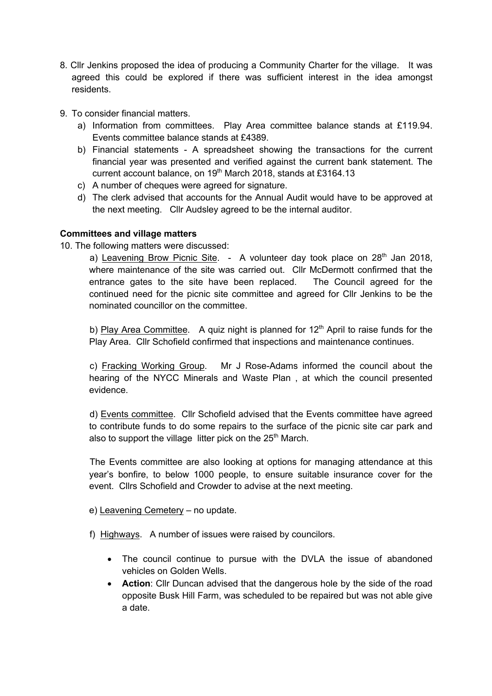- 8. Cllr Jenkins proposed the idea of producing a Community Charter for the village. It was agreed this could be explored if there was sufficient interest in the idea amongst residents.
- 9. To consider financial matters.
	- a) Information from committees. Play Area committee balance stands at £119.94. Events committee balance stands at £4389.
	- b) Financial statements A spreadsheet showing the transactions for the current financial year was presented and verified against the current bank statement. The current account balance, on 19<sup>th</sup> March 2018, stands at £3164.13
	- c) A number of cheques were agreed for signature.
	- d) The clerk advised that accounts for the Annual Audit would have to be approved at the next meeting. Cllr Audsley agreed to be the internal auditor.

## **Committees and village matters**

10. The following matters were discussed:

a) Leavening Brow Picnic Site.  $-$  A volunteer day took place on 28<sup>th</sup> Jan 2018, where maintenance of the site was carried out. Cllr McDermott confirmed that the entrance gates to the site have been replaced. The Council agreed for the continued need for the picnic site committee and agreed for Cllr Jenkins to be the nominated councillor on the committee.

b) Play Area Committee. A quiz night is planned for  $12<sup>th</sup>$  April to raise funds for the Play Area. Cllr Schofield confirmed that inspections and maintenance continues.

c) Fracking Working Group. Mr J Rose-Adams informed the council about the hearing of the NYCC Minerals and Waste Plan , at which the council presented evidence.

d) Events committee. Cllr Schofield advised that the Events committee have agreed to contribute funds to do some repairs to the surface of the picnic site car park and also to support the village litter pick on the 25<sup>th</sup> March.

The Events committee are also looking at options for managing attendance at this year's bonfire, to below 1000 people, to ensure suitable insurance cover for the event. Cllrs Schofield and Crowder to advise at the next meeting.

- e) Leavening Cemetery no update.
- f) Highways. A number of issues were raised by councilors.
	- The council continue to pursue with the DVLA the issue of abandoned vehicles on Golden Wells.
	- **Action**: Cllr Duncan advised that the dangerous hole by the side of the road opposite Busk Hill Farm, was scheduled to be repaired but was not able give a date.